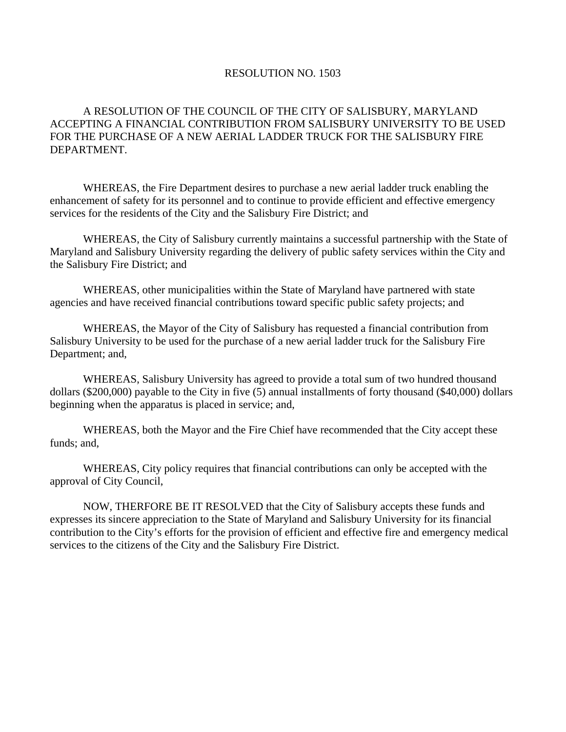## RESOLUTION NO. 1503

## A RESOLUTION OF THE COUNCIL OF THE CITY OF SALISBURY, MARYLAND ACCEPTING A FINANCIAL CONTRIBUTION FROM SALISBURY UNIVERSITY TO BE USED FOR THE PURCHASE OF A NEW AERIAL LADDER TRUCK FOR THE SALISBURY FIRE DEPARTMENT.

 WHEREAS, the Fire Department desires to purchase a new aerial ladder truck enabling the enhancement of safety for its personnel and to continue to provide efficient and effective emergency services for the residents of the City and the Salisbury Fire District; and

 WHEREAS, the City of Salisbury currently maintains a successful partnership with the State of Maryland and Salisbury University regarding the delivery of public safety services within the City and the Salisbury Fire District; and

 WHEREAS, other municipalities within the State of Maryland have partnered with state agencies and have received financial contributions toward specific public safety projects; and

WHEREAS, the Mayor of the City of Salisbury has requested a financial contribution from Salisbury University to be used for the purchase of a new aerial ladder truck for the Salisbury Fire Department; and,

WHEREAS, Salisbury University has agreed to provide a total sum of two hundred thousand dollars (\$200,000) payable to the City in five (5) annual installments of forty thousand (\$40,000) dollars beginning when the apparatus is placed in service; and,

 WHEREAS, both the Mayor and the Fire Chief have recommended that the City accept these funds; and,

 WHEREAS, City policy requires that financial contributions can only be accepted with the approval of City Council,

 NOW, THERFORE BE IT RESOLVED that the City of Salisbury accepts these funds and expresses its sincere appreciation to the State of Maryland and Salisbury University for its financial contribution to the City's efforts for the provision of efficient and effective fire and emergency medical services to the citizens of the City and the Salisbury Fire District.